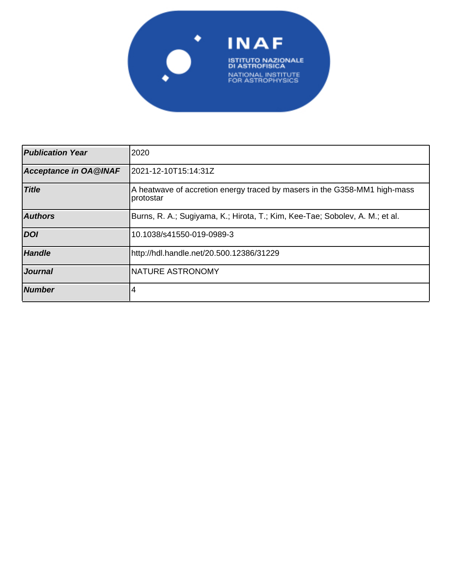

| <b>Publication Year</b>      | 2020                                                                                    |  |  |
|------------------------------|-----------------------------------------------------------------------------------------|--|--|
| <b>Acceptance in OA@INAF</b> | 2021-12-10T15:14:31Z                                                                    |  |  |
| <b>Title</b>                 | A heatwave of accretion energy traced by masers in the G358-MM1 high-mass<br> protostar |  |  |
| <b>Authors</b>               | Burns, R. A.; Sugiyama, K.; Hirota, T.; Kim, Kee-Tae; Sobolev, A. M.; et al.            |  |  |
| <b>DOI</b>                   | 10.1038/s41550-019-0989-3                                                               |  |  |
| <b>Handle</b>                | http://hdl.handle.net/20.500.12386/31229                                                |  |  |
| <b>Journal</b>               | <b>INATURE ASTRONOMY</b>                                                                |  |  |
| <b>Number</b>                | 4                                                                                       |  |  |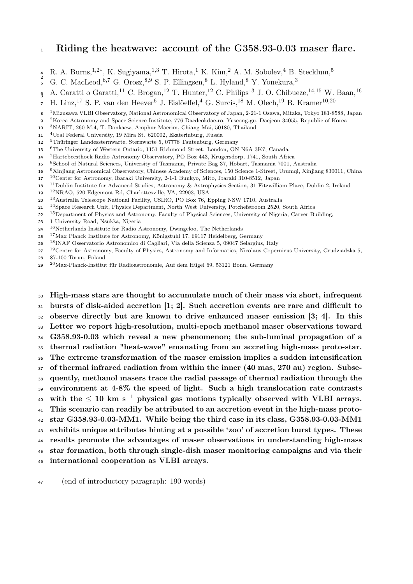## <sup>1</sup> Riding the heatwave: account of the G358.93-0.03 maser flare.

- R. A. Burns,<sup>1,2\*</sup>, K. Sugiyama,<sup>1,3</sup> T. Hirota,<sup>1</sup> K. Kim,<sup>2</sup> A. M. Sobolev,<sup>4</sup> B. Stecklum,<sup>5</sup>
- G. C. MacLeod,  $6,7$  G. Orosz,  $8,9$  S. P. Ellingsen,  $8$  L. Hyland,  $8$  Y. Yonekura,  $3$
- $\mathfrak{g}$ A. Caratti o Garatti,<sup>11</sup> C. Brogan,<sup>12</sup> T. Hunter,<sup>12</sup> C. Philips<sup>13</sup> J. O. Chibueze,<sup>14,15</sup> W. Baan,<sup>16</sup>
- H. Linz,<sup>17</sup> S. P. van den Heever<sup>6</sup> J. Eislöeffel,<sup>4</sup> G. Surcis,<sup>18</sup> M. Olech,<sup>19</sup> B. Kramer<sup>10,20</sup>
- Mizusawa VLBI Observatory, National Astronomical Observatory of Japan, 2-21-1 Osawa, Mitaka, Tokyo 181-8588, Japan
- Korea Astronomy and Space Science Institute, 776 Daedeokdae-ro, Yuseong-gu, Daejeon 34055, Republic of Korea
- <sup>3</sup>NARIT, 260 M.4, T. Donkaew, Amphur Maerim, Chiang Mai, 50180, Thailand
- <sup>4</sup>Ural Federal University, 19 Mira St. 620002, Ekaterinburg, Russia
- <sup>5</sup>Thüringer Landessternwarte, Sternwarte 5, 07778 Tautenburg, Germany
- <sup>6</sup>The University of Western Ontario, 1151 Richmond Street. London, ON N6A 3K7, Canada
- <sup>7</sup>Hartebeesthoek Radio Astronomy Observatory, PO Box 443, Krugersdorp, 1741, South Africa
- 8 School of Natural Sciences, University of Tasmania, Private Bag 37, Hobart, Tasmania 7001, Australia
- <sup>9</sup>Xinjiang Astronomical Observatory, Chinese Academy of Sciences, 150 Science 1-Street, Urumqi, Xinjiang 830011, China
- <sup>10</sup>Center for Astronomy, Ibaraki University, 2-1-1 Bunkyo, Mito, Ibaraki 310-8512, Japan <sup>11</sup>Dublin Institute for Advanced Studies, Astronomy & Astrophysics Section, 31 Fitzwilliam Place, Dublin 2, Ireland
- <sup>12</sup>NRAO, 520 Edgemont Rd, Charlottesville, VA, 22903, USA
- <sup>13</sup>Australia Telescope National Facility, CSIRO, PO Box 76, Epping NSW 1710, Australia
- <sup>14</sup> Space Research Unit, Physics Department, North West University, Potchefstroom 2520, South Africa
- 22 <sup>15</sup>Department of Physics and Astronomy, Faculty of Physical Sciences, University of Nigeria, Carver Building,
- 1 University Road, Nsukka, Nigeria
- $^{16}\rm{N}$ etherlands Institute for Radio Astronomy, Dwingeloo, The Netherlands
- <sup>17</sup>Max Planck Institute for Astronomy, Königstuhl 17, 69117 Heidelberg, Germany
- <sup>18</sup> INAF Osservatorio Astronomico di Cagliari, Via della Scienza 5, 09047 Selargius, Italy
- <sup>19</sup>Centre for Astronomy, Faculty of Physics, Astronomy and Informatics, Nicolaus Copernicus University, Grudziadzka 5, 87-100 Torun, Poland
- <sup>20</sup>Max-Planck-Institut für Radioastronomie, Auf dem Hügel 69, 53121 Bonn, Germany

 High-mass stars are thought to accumulate much of their mass via short, infrequent bursts of disk-aided accretion [1; 2]. Such accretion events are rare and difficult to observe directly but are known to drive enhanced maser emission [3; 4]. In this Letter we report high-resolution, multi-epoch methanol maser observations toward G358.93-0.03 which reveal a new phenomenon; the sub-luminal propagation of a thermal radiation "heat-wave" emanating from an accreting high-mass proto-star. The extreme transformation of the maser emission implies a sudden intensification of thermal infrared radiation from within the inner (40 mas, 270 au) region. Subse- quently, methanol masers trace the radial passage of thermal radiation through the environment at 4-8% the speed of light. Such a high translocation rate contrasts 40 with the  $\leq 10$  km s<sup>-1</sup> physical gas motions typically observed with VLBI arrays. This scenario can readily be attributed to an accretion event in the high-mass proto- star G358.93-0.03-MM1. While being the third case in its class, G358.93-0.03-MM1 exhibits unique attributes hinting at a possible 'zoo' of accretion burst types. These results promote the advantages of maser observations in understanding high-mass star formation, both through single-dish maser monitoring campaigns and via their

international cooperation as VLBI arrays.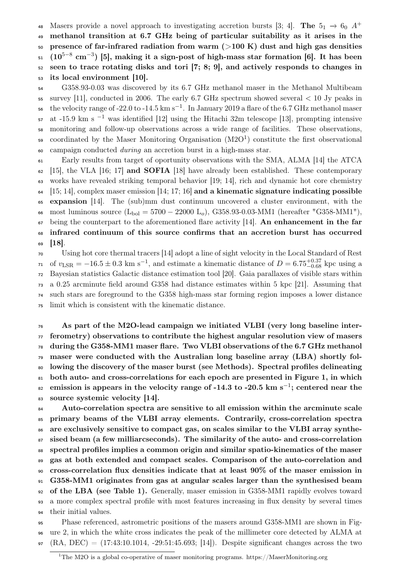48 Masers provide a novel approach to investigating accretion bursts [3; 4]. The  $5<sub>1</sub> \rightarrow 6<sub>0</sub> A<sup>+</sup>$ 

 methanol transition at 6.7 GHz being of particular suitability as it arises in the  $_{50}$  presence of far-infrared radiation from warm ( $>100$  K) dust and high gas densities

 $_{51}$   $(10^{5-8} \text{ cm}^{-3})$  [5], making it a sign-post of high-mass star formation [6]. It has been

seen to trace rotating disks and tori [7; 8; 9], and actively responds to changes in

its local environment [10].

 G358.93-0.03 was discovered by its 6.7 GHz methanol maser in the Methanol Multibeam survey [11], conducted in 2006. The early 6.7 GHz spectrum showed several  $< 10$  Jy peaks in  $_{56}$  the velocity range of -22.0 to -14.5 km s<sup>-1</sup>. In January 2019 a flare of the 6.7 GHz methanol maser at -15.9 km s<sup>-1</sup> was identified [12] using the Hitachi 32m telescope [13], prompting intensive monitoring and follow-up observations across a wide range of facilities. These observations, so coordinated by the Maser Monitoring Organisation  $(M2O<sup>1</sup>)$  constitute the first observational campaign conducted during an accretion burst in a high-mass star.

 Early results from target of oportunity observations with the SMA, ALMA [14] the ATCA [15], the VLA [16; 17] and SOFIA [18] have already been established. These contemporary works have revealed striking temporal behavior [19; 14], rich and dynamic hot core chemistry [15; 14], complex maser emission [14; 17; 16] and a kinematic signature indicating possible expansion [14]. The (sub)mm dust continuum uncovered a cluster environment, with the 66 most luminous source  $(L_{bol} = 5700 - 22000 L_0)$ , G358.93-0.03-MM1 (hereafter "G358-MM1"),  $\epsilon_7$  being the counterpart to the aforementioned flare activity [14]. An enhancement in the far infrared continuum of this source confirms that an accretion burst has occurred [18].

 Using hot core thermal tracers [14] adopt a line of sight velocity in the Local Standard of Rest  $v_{\text{LSR}} = -16.5 \pm 0.3 \text{ km s}^{-1}$ , and estimate a kinematic distance of  $D = 6.75_{-0.68}^{+0.37}$  kpc using a Bayesian statistics Galactic distance estimation tool [20]. Gaia parallaxes of visible stars within a 0.25 arcminute field around G358 had distance estimates within 5 kpc [21]. Assuming that such stars are foreground to the G358 high-mass star forming region imposes a lower distance limit which is consistent with the kinematic distance.

 As part of the M2O-lead campaign we initiated VLBI (very long baseline inter- ferometry) observations to contribute the highest angular resolution view of masers during the G358-MM1 maser flare. Two VLBI observations of the 6.7 GHz methanol maser were conducted with the Australian long baseline array (LBA) shortly fol- lowing the discovery of the maser burst (see Methods). Spectral profiles delineating 81 both auto- and cross-correlations for each epoch are presented in Figure 1, in which  $_{\text{82}}$  emission is appears in the velocity range of -14.3 to -20.5 km s<sup>-1</sup>; centered near the source systemic velocity [14].

 Auto-correlation spectra are sensitive to all emission within the arcminute scale primary beams of the VLBI array elements. Contrarily, cross-correlation spectra are exclusively sensitive to compact gas, on scales similar to the VLBI array synthe- sised beam (a few milliarcseconds). The similarity of the auto- and cross-correlation spectral profiles implies a common origin and similar spatio-kinematics of the maser gas at both extended and compact scales. Comparison of the auto-correlation and cross-correlation flux densities indicate that at least 90% of the maser emission in G358-MM1 originates from gas at angular scales larger than the synthesised beam of the LBA (see Table 1). Generally, maser emission in G358-MM1 rapidly evolves toward a more complex spectral profile with most features increasing in flux density by several times their initial values.

 Phase referenced, astrometric positions of the masers around G358-MM1 are shown in Fig- ure 2, in which the white cross indicates the peak of the millimeter core detected by ALMA at 97  $(RA, DEC) = (17:43:10.1014, -29:51:45.693; [14])$ . Despite significant changes across the two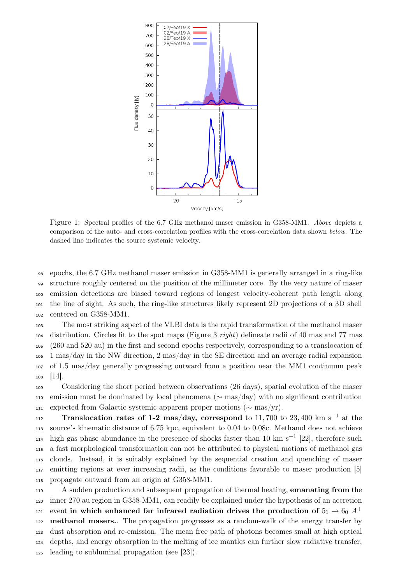

Figure 1: Spectral profiles of the 6.7 GHz methanol maser emission in G358-MM1. Above depicts a comparison of the auto- and cross-correlation profiles with the cross-correlation data shown below. The dashed line indicates the source systemic velocity.

 epochs, the 6.7 GHz methanol maser emission in G358-MM1 is generally arranged in a ring-like structure roughly centered on the position of the millimeter core. By the very nature of maser emission detections are biased toward regions of longest velocity-coherent path length along the line of sight. As such, the ring-like structures likely represent 2D projections of a 3D shell centered on G358-MM1.

 The most striking aspect of the VLBI data is the rapid transformation of the methanol maser 104 distribution. Circles fit to the spot maps (Figure 3 right) delineate radii of 40 mas and 77 mas (260 and 520 au) in the first and second epochs respectively, corresponding to a translocation of 1 mas/day in the NW direction, 2 mas/day in the SE direction and an average radial expansion of 1.5 mas/day generally progressing outward from a position near the MM1 continuum peak [14].

 Considering the short period between observations (26 days), spatial evolution of the maser emission must be dominated by local phenomena (∼ mas/day) with no significant contribution 111 expected from Galactic systemic apparent proper motions ( $\sim$  mas/yr).

Translocation rates of 1-2 mas/day, correspond to 11,700 to 23,400 km s<sup>-1</sup> at the source's kinematic distance of 6.75 kpc, equivalent to 0.04 to 0.08c. Methanol does not achieve  $_{114}$  high gas phase abundance in the presence of shocks faster than 10 km s<sup>-1</sup> [22], therefore such a fast morphological transformation can not be attributed to physical motions of methanol gas clouds. Instead, it is suitably explained by the sequential creation and quenching of maser emitting regions at ever increasing radii, as the conditions favorable to maser production [5] propagate outward from an origin at G358-MM1.

119 A sudden production and subsequent propagation of thermal heating, **emanating from** the inner 270 au region in G358-MM1, can readily be explained under the hypothesis of an accretion 121 event in which enhanced far infrared radiation drives the production of  $5<sub>1</sub> \rightarrow 6<sub>0</sub> A<sup>+</sup>$  methanol masers.. The propagation progresses as a random-walk of the energy transfer by dust absorption and re-emission. The mean free path of photons becomes small at high optical depths, and energy absorption in the melting of ice mantles can further slow radiative transfer, leading to subluminal propagation (see [23]).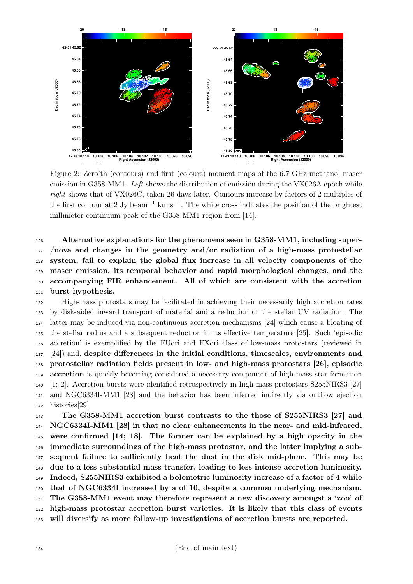

Figure 2: Zero'th (contours) and first (colours) moment maps of the 6.7 GHz methanol maser emission in G358-MM1. Left shows the distribution of emission during the VX026A epoch while right shows that of VX026C, taken 26 days later. Contours increase by factors of 2 multiples of the first contour at 2 Jy beam<sup>-1</sup> km s<sup>-1</sup>. The white cross indicates the position of the brightest millimeter continuum peak of the G358-MM1 region from [14].

 Alternative explanations for the phenomena seen in G358-MM1, including super- /nova and changes in the geometry and/or radiation of a high-mass protostellar system, fail to explain the global flux increase in all velocity components of the maser emission, its temporal behavior and rapid morphological changes, and the accompanying FIR enhancement. All of which are consistent with the accretion burst hypothesis.

 High-mass protostars may be facilitated in achieving their necessarily high accretion rates by disk-aided inward transport of material and a reduction of the stellar UV radiation. The latter may be induced via non-continuous accretion mechanisms [24] which cause a bloating of the stellar radius and a subsequent reduction in its effective temperature [25]. Such 'episodic accretion' is exemplified by the FUori and EXori class of low-mass protostars (reviewed in [24]) and, despite differences in the initial conditions, timescales, environments and protostellar radiation fields present in low- and high-mass protostars [26], episodic **accretion** is quickly becoming considered a necessary component of high-mass star formation [1; 2]. Accretion bursts were identified retrospectively in high-mass protostars S255NIRS3 [27] and NGC6334I-MM1 [28] and the behavior has been inferred indirectly via outflow ejection histories[29].

 The G358-MM1 accretion burst contrasts to the those of S255NIRS3 [27] and NGC6334I-MM1 [28] in that no clear enhancements in the near- and mid-infrared, were confirmed [14; 18]. The former can be explained by a high opacity in the immediate surroundings of the high-mass protostar, and the latter implying a sub- sequent failure to sufficiently heat the dust in the disk mid-plane. This may be due to a less substantial mass transfer, leading to less intense accretion luminosity. Indeed, S255NIRS3 exhibited a bolometric luminosity increase of a factor of 4 while that of NGC6334I increased by a of 10, despite a common underlying mechanism. The G358-MM1 event may therefore represent a new discovery amongst a 'zoo' of high-mass protostar accretion burst varieties. It is likely that this class of events will diversify as more follow-up investigations of accretion bursts are reported.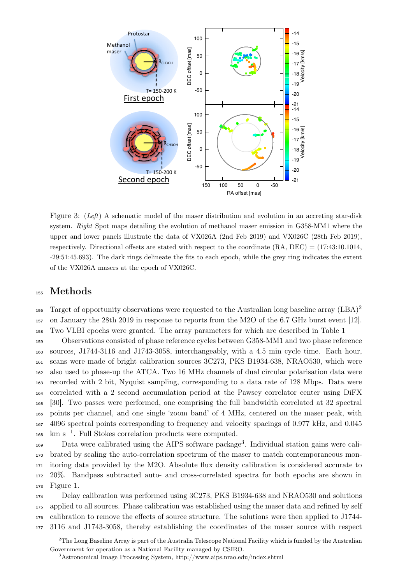

Figure 3: (Left) A schematic model of the maser distribution and evolution in an accreting star-disk system. Right Spot maps detailing the evolution of methanol maser emission in G358-MM1 where the upper and lower panels illustrate the data of VX026A (2nd Feb 2019) and VX026C (28th Feb 2019), respectively. Directional offsets are stated with respect to the coordinate (RA, DEC) = (17:43:10.1014, -29:51:45.693). The dark rings delineate the fits to each epoch, while the grey ring indicates the extent of the VX026A masers at the epoch of VX026C.

## <sup>155</sup> Methods

Target of opportunity observations were requested to the Australian long baseline array  $(LBA)^2$ 156 <sup>157</sup> on January the 28th 2019 in response to reports from the M2O of the 6.7 GHz burst event [12]. <sup>158</sup> Two VLBI epochs were granted. The array parameters for which are described in Table 1

 Observations consisted of phase reference cycles between G358-MM1 and two phase reference sources, J1744-3116 and J1743-3058, interchangeably, with a 4.5 min cycle time. Each hour, scans were made of bright calibration sources 3C273, PKS B1934-638, NRAO530, which were also used to phase-up the ATCA. Two 16 MHz channels of dual circular polarisation data were recorded with 2 bit, Nyquist sampling, corresponding to a data rate of 128 Mbps. Data were correlated with a 2 second accumulation period at the Pawsey correlator center using DiFX [30]. Two passes were performed, one comprising the full bandwidth correlated at 32 spectral points per channel, and one single 'zoom band' of 4 MHz, centered on the maser peak, with 4096 spectral points corresponding to frequency and velocity spacings of 0.977 kHz, and 0.045  $km s^{-1}$ . Full Stokes correlation products were computed.

169 Data were calibrated using the AIPS software package<sup>3</sup>. Individual station gains were cali- brated by scaling the auto-correlation spectrum of the maser to match contemporaneous mon- itoring data provided by the M2O. Absolute flux density calibration is considered accurate to 20%. Bandpass subtracted auto- and cross-correlated spectra for both epochs are shown in Figure 1.

 Delay calibration was performed using 3C273, PKS B1934-638 and NRAO530 and solutions applied to all sources. Phase calibration was established using the maser data and refined by self calibration to remove the effects of source structure. The solutions were then applied to J1744- 3116 and J1743-3058, thereby establishing the coordinates of the maser source with respect

<sup>&</sup>lt;sup>2</sup>The Long Baseline Array is part of the Australia Telescope National Facility which is funded by the Australian Government for operation as a National Facility managed by CSIRO.

<sup>3</sup>Astronomical Image Processing System, http://www.aips.nrao.edu/index.shtml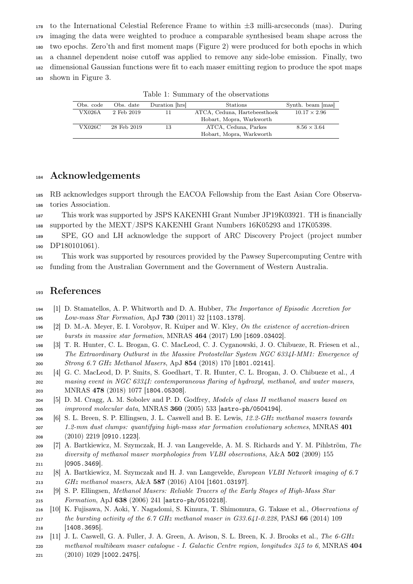to the International Celestial Reference Frame to within  $\pm 3$  milli-arcseconds (mas). During imaging the data were weighted to produce a comparable synthesised beam shape across the two epochs. Zero'th and first moment maps (Figure 2) were produced for both epochs in which a channel dependent noise cutoff was applied to remove any side-lobe emission. Finally, two dimensional Gaussian functions were fit to each maser emitting region to produce the spot maps shown in Figure 3.

| Table 1: Summary of the observations |             |                |                              |                     |  |
|--------------------------------------|-------------|----------------|------------------------------|---------------------|--|
| Obs. code                            | Obs. date   | Duration [hrs] | <b>Stations</b>              | Synth. beam [mas]   |  |
| VX026A                               | 2 Feb 2019  | 11             | ATCA, Ceduna, Hartebeesthoek | $10.17 \times 2.96$ |  |
|                                      |             |                | Hobart, Mopra, Warkworth     |                     |  |
| $\rm VX026C$                         | 28 Feb 2019 | 13             | ATCA, Ceduna, Parkes         | $8.56 \times 3.64$  |  |
|                                      |             |                | Hobart, Mopra, Warkworth     |                     |  |

Acknowledgements

 RB acknowledges support through the EACOA Fellowship from the East Asian Core Observa-tories Association.

 This work was supported by JSPS KAKENHI Grant Number JP19K03921. TH is financially supported by the MEXT/JSPS KAKENHI Grant Numbers 16K05293 and 17K05398.

 SPE, GO and LH acknowledge the support of ARC Discovery Project (project number 190 DP180101061).

 This work was supported by resources provided by the Pawsey Supercomputing Centre with funding from the Australian Government and the Government of Western Australia.

## References

- [1] D. Stamatellos, A. P. Whitworth and D. A. Hubber, The Importance of Episodic Accretion for Low-mass Star Formation, ApJ 730 (2011) 32 [1103.1378].
- [2] D. M.-A. Meyer, E. I. Vorobyov, R. Kuiper and W. Kley, On the existence of accretion-driven bursts in massive star formation, MNRAS 464 (2017) L90 [1609.03402].
- [3] T. R. Hunter, C. L. Brogan, G. C. MacLeod, C. J. Cyganowski, J. O. Chibueze, R. Friesen et al., The Extraordinary Outburst in the Massive Protostellar System NGC 6334I-MM1: Emergence of Strong 6.7 GHz Methanol Masers, ApJ 854 (2018) 170 [1801.02141].
- [4] G. C. MacLeod, D. P. Smits, S. Goedhart, T. R. Hunter, C. L. Brogan, J. O. Chibueze et al., A masing event in NGC 6334I: contemporaneous flaring of hydroxyl, methanol, and water masers, MNRAS 478 (2018) 1077 [1804.05308].
- [5] D. M. Cragg, A. M. Sobolev and P. D. Godfrey, Models of class II methanol masers based on improved molecular data, MNRAS 360 (2005) 533 [astro-ph/0504194].
- [6] S. L. Breen, S. P. Ellingsen, J. L. Caswell and B. E. Lewis, 12.2-GHz methanol masers towards 1.2-mm dust clumps: quantifying high-mass star formation evolutionary schemes, MNRAS 401 (2010) 2219 [0910.1223].
- [7] A. Bartkiewicz, M. Szymczak, H. J. van Langevelde, A. M. S. Richards and Y. M. Pihlström, The 210 diversity of methanol maser morphologies from VLBI observations, A&A 502 (2009) 155 [0905.3469].
- [8] A. Bartkiewicz, M. Szymczak and H. J. van Langevelde, European VLBI Network imaging of 6.7 GHz methanol masers, A&A 587 (2016) A104 [1601.03197].
- [9] S. P. Ellingsen, Methanol Masers: Reliable Tracers of the Early Stages of High-Mass Star Formation, ApJ 638 (2006) 241 [astro-ph/0510218].
- [10] K. Fujisawa, N. Aoki, Y. Nagadomi, S. Kimura, T. Shimomura, G. Takase et al., Observations of the bursting activity of the 6.7 GHz methanol maser in G33.641-0.228, PASJ 66 (2014) 109 [1408.3695].
- 219 [11] J. L. Caswell, G. A. Fuller, J. A. Green, A. Avison, S. L. Breen, K. J. Brooks et al., The -GHz methanol multibeam maser catalogue - I. Galactic Centre region, longitudes 345 to 6, MNRAS 404
- (2010) 1029 [1002.2475].